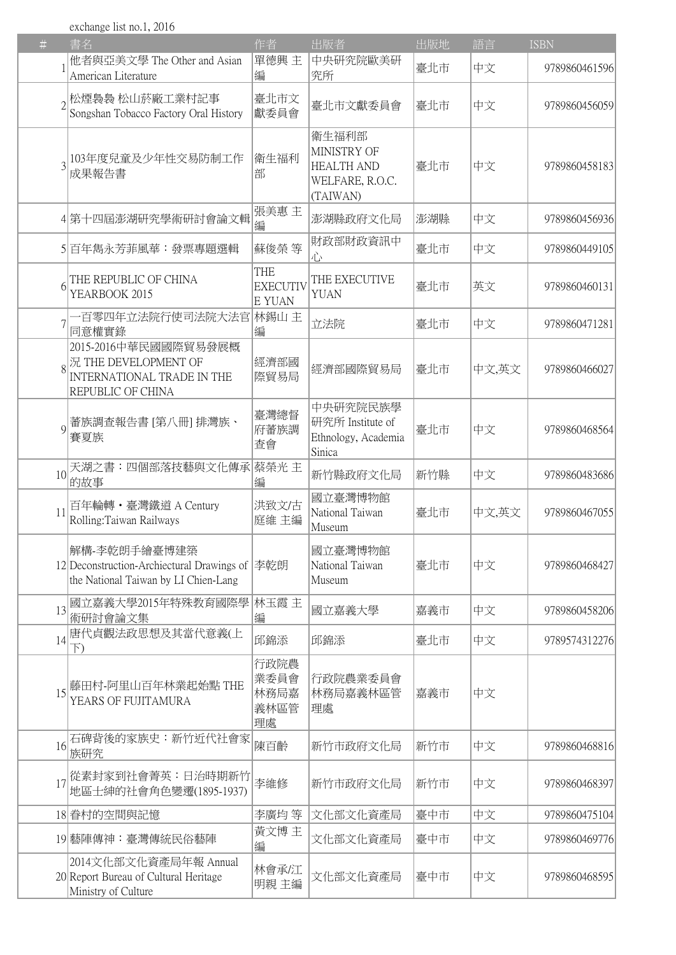exchange list no.1, 2016

| #               | 書名                                                                                                           | 作者                                      | 出版者                                                                      | 出版地 | 語言    | <b>ISBN</b>   |
|-----------------|--------------------------------------------------------------------------------------------------------------|-----------------------------------------|--------------------------------------------------------------------------|-----|-------|---------------|
|                 | 他者與亞美文學 The Other and Asian<br>American Literature                                                           | 單德興 主<br>編                              | 中央研究院歐美研<br>究所                                                           | 臺北市 | 中文    | 9789860461596 |
|                 | $_{\mathrm{2}}$ 松煙裊裊 松山菸廠工業村記事<br>Songshan Tobacco Factory Oral History                                      | 臺北市文<br>獻委員會                            | 臺北市文獻委員會                                                                 | 臺北市 | 中文    | 9789860456059 |
|                 | 103年度兒童及少年性交易防制工作<br>成果報告書                                                                                   | 衛生福利<br>部                               | 衛生福利部<br>MINISTRY OF<br><b>HEALTH AND</b><br>WELFARE, R.O.C.<br>(TAIWAN) | 臺北市 | 中文    | 9789860458183 |
|                 | 4 第十四屆澎湖研究學術研討會論文輯                                                                                           | 張美惠 主<br>編                              | 澎湖縣政府文化局                                                                 | 澎湖縣 | 中文    | 9789860456936 |
|                 | 5 百年雋永芳菲風華:發票專題選輯                                                                                            | 蘇俊榮等                                    | 財政部財政資訊中<br>心                                                            | 臺北市 | 中文    | 9789860449105 |
|                 | THE REPUBLIC OF CHINA<br>YEARBOOK 2015                                                                       | <b>THE</b><br><b>EXECUTIV</b><br>E YUAN | THE EXECUTIVE<br>YUAN                                                    | 臺北市 | 英文    | 9789860460131 |
|                 | -百零四年立法院行使司法院大法官<br>同意權實錄                                                                                    | 林錫山 主<br>編                              | 立法院                                                                      | 臺北市 | 中文    | 9789860471281 |
|                 | 2015-2016中華民國國際貿易發展概<br>$\mathbb{R}^2$ THE DEVELOPMENT OF<br>INTERNATIONAL TRADE IN THE<br>REPUBLIC OF CHINA | 經濟部國<br>際貿易局                            | 經濟部國際貿易局                                                                 | 臺北市 | 中文,英文 | 9789860466027 |
| $\Omega$        | 蕃族調查報告書 [第八冊] 排灣族、<br>賽夏族                                                                                    | 臺灣總督<br>府蕃族調<br>查會                      | 中央研究院民族學<br>研究所 Institute of<br>Ethnology, Academia<br>Sinica            | 臺北市 | 中文    | 9789860468564 |
| 10 <sup>1</sup> | 天湖之書:四個部落技藝與文化傳承 <br>的故事                                                                                     | 蔡榮光 主<br>編                              | 新竹縣政府文化局                                                                 | 新竹縣 | 中文    | 9789860483686 |
| 11              | 百年輪轉·臺灣鐵道 A Century<br>Rolling: Taiwan Railways                                                              | 洪致文/古<br>庭維 主編                          | 國立臺灣博物館<br>National Taiwan<br>Museum                                     | 臺北市 | 中文,英文 | 9789860467055 |
|                 | 解構-李乾朗手繪臺博建築<br>12 Deconstruction-Archiectural Drawings of<br>the National Taiwan by LI Chien-Lang           | 李乾朗                                     | 國立臺灣博物館<br>National Taiwan<br>Museum                                     | 臺北市 | 中文    | 9789860468427 |
| 13              | 國立嘉義大學2015年特殊教育國際學<br>術研討會論文集                                                                                | 林玉霞 主<br>編                              | 國立嘉義大學                                                                   | 嘉義市 | 中文    | 9789860458206 |
| 14              | 唐代貞觀法政思想及其當代意義(上<br>F)                                                                                       | 邱錦添                                     | 邱錦添                                                                      | 臺北市 | 中文    | 9789574312276 |
| 15              | 藤田村-阿里山百年林業起始點 THE<br>YEARS OF FUJITAMURA                                                                    | 行政院農<br>業委員會<br>林務局嘉<br>義林區管<br>理處      | 行政院農業委員會<br>林務局嘉義林區管<br>理處                                               | 嘉義市 | 中文    |               |
| 16              | 石碑背後的家族史:新竹近代社會家<br>族研究                                                                                      | 陳百齡                                     | 新竹市政府文化局                                                                 | 新竹市 | 中文    | 9789860468816 |
| 17              | 從素封家到社會菁英:日治時期新竹<br>地區士紳的社會角色變遷(1895-1937)                                                                   | 李維修                                     | 新竹市政府文化局                                                                 | 新竹市 | 中文    | 9789860468397 |
|                 | 18 眷村的空間與記憶                                                                                                  | 李廣均 等                                   | 文化部文化資產局                                                                 | 臺中市 | 中文    | 9789860475104 |
|                 | 19 藝陣傳神:臺灣傳統民俗藝陣                                                                                             | 黃文博 主<br>編                              | 文化部文化資產局                                                                 | 臺中市 | 中文    | 9789860469776 |
|                 | 2014文化部文化資產局年報 Annual<br>20 Report Bureau of Cultural Heritage<br>Ministry of Culture                        | 林會承/江<br>明親 主編                          | 文化部文化資產局                                                                 | 臺中市 | 中文    | 9789860468595 |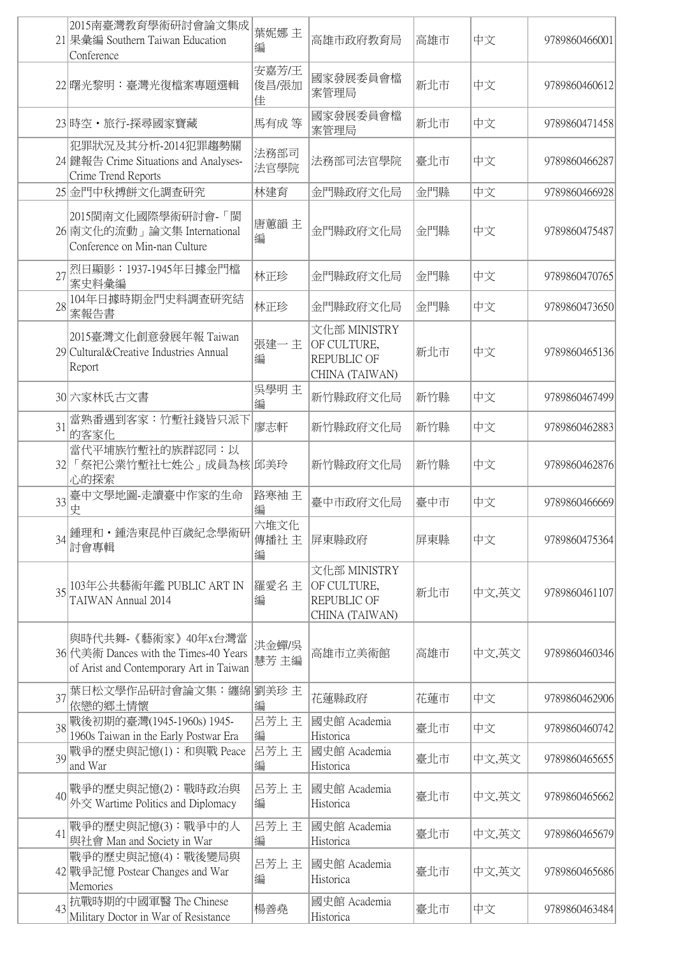|    | 2015南臺灣教育學術研討會論文集成<br>21 果彙編 Southern Taiwan Education<br>Conference                                   | 葉妮娜 主<br>編          | 高雄市政府教育局                                                     | 高雄市 | 中文    | 9789860466001 |
|----|--------------------------------------------------------------------------------------------------------|---------------------|--------------------------------------------------------------|-----|-------|---------------|
|    | 22 曙光黎明:臺灣光復檔案專題選輯                                                                                     | 安嘉芳/王<br>俊昌/張加<br>佳 | 國家發展委員會檔<br>案管理局                                             | 新北市 | 中文    | 9789860460612 |
|    | 23 時空·旅行-探尋國家寶藏                                                                                        | 馬有成 等               | 國家發展委員會檔<br>案管理局                                             | 新北市 | 中文    | 9789860471458 |
|    | 犯罪狀況及其分析-2014犯罪趨勢關<br>24 鍵報告 Crime Situations and Analyses-<br>Crime Trend Reports                     | 法務部司<br>法官學院        | 法務部司法官學院                                                     | 臺北市 | 中文    | 9789860466287 |
|    | 25 金門中秋搏餅文化調查研究                                                                                        | 林建育                 | 金門縣政府文化局                                                     | 金門縣 | 中文    | 9789860466928 |
|    | 2015閩南文化國際學術研討會-「閩<br>26 南文化的流動」論文集 International<br>Conference on Min-nan Culture                     | 唐蕙韻主<br>編           | 金門縣政府文化局                                                     | 金門縣 | 中文    | 9789860475487 |
| 27 | 烈日顯影:1937-1945年日據金門檔<br>案史料彙編                                                                          | 林正珍                 | 金門縣政府文化局                                                     | 金門縣 | 中文    | 9789860470765 |
| 28 | 104年日據時期金門史料調查研究結<br>案報告書                                                                              | 林正珍                 | 金門縣政府文化局                                                     | 金門縣 | 中文    | 9789860473650 |
|    | 2015臺灣文化創意發展年報 Taiwan<br>29 Cultural&Creative Industries Annual<br>Report                              | 張建一主<br>編           | 文化部 MINISTRY<br>OF CULTURE,<br>REPUBLIC OF<br>CHINA (TAIWAN) | 新北市 | 中文    | 9789860465136 |
|    | 30 六家林氏古文書                                                                                             | 吳學明 主<br>編          | 新竹縣政府文化局                                                     | 新竹縣 | 中文    | 9789860467499 |
| 31 | 當熟番遇到客家:竹塹社錢皆只派下<br>的客家化                                                                               | 廖志軒                 | 新竹縣政府文化局                                                     | 新竹縣 | 中文    | 9789860462883 |
|    | 當代平埔族竹塹社的族群認同:以<br>32 「祭祀公業竹塹社七姓公」成員為核 邱美玲<br>心的探索                                                     |                     | 新竹縣政府文化局                                                     | 新竹縣 | 中文    | 9789860462876 |
| 33 | 臺中文學地圖-走讀臺中作家的生命<br>史                                                                                  | 路寒袖主<br>編           | 臺中市政府文化局                                                     | 臺中市 | 中文    | 9789860466669 |
| 34 | 鍾理和・鍾浩東昆仲百歲紀念學術研<br>討會專輯                                                                               | 六堆文化<br>傳播社主<br>編   | 屏東縣政府                                                        | 屏東縣 | 中文    | 9789860475364 |
|    | 35 103年公共藝術年鑑 PUBLIC ART IN<br>TAIWAN Annual 2014                                                      | 羅愛名主<br>編           | 文化部 MINISTRY<br>OF CULTURE,<br>REPUBLIC OF<br>CHINA (TAIWAN) | 新北市 | 中文,英文 | 9789860461107 |
|    | 與時代共舞-《藝術家》40年x台灣當<br>36 代美術 Dances with the Times-40 Years<br>of Arist and Contemporary Art in Taiwan | 洪金蟬/吳<br>慧芳 主編      | 高雄市立美術館                                                      | 高雄市 | 中文,英文 | 9789860460346 |
| 37 | 葉日松文學作品研討會論文集:纏綿 <br>依戀的鄉土情懷                                                                           | 劉美珍 主<br>編          | 花蓮縣政府                                                        | 花蓮市 | 中文    | 9789860462906 |
| 38 | 戰後初期的臺灣(1945-1960s) 1945-<br>1960s Taiwan in the Early Postwar Era                                     | 呂芳上主<br>編           | 國史館 Academia<br>Historica                                    | 臺北市 | 中文    | 9789860460742 |
|    | 39 戰爭的歷史與記憶(1): 和與戰 Peace<br>and War                                                                   | 呂芳上主<br>編           | 國史館 Academia<br>Historica                                    | 臺北市 | 中文,英文 | 9789860465655 |
|    | 40 戰爭的歷史與記憶(2): 戰時政治與<br>外交 Wartime Politics and Diplomacy                                             | 呂芳上 主<br>編          | 國史館 Academia<br>Historica                                    | 臺北市 | 中文,英文 | 9789860465662 |
| 41 | 戰爭的歷史與記憶(3): 戰爭中的人<br>與社會 Man and Society in War                                                       | 呂芳上主<br>編           | 國史館 Academia<br>Historica                                    | 臺北市 | 中文,英文 | 9789860465679 |
|    | 戰爭的歷史與記憶(4): 戰後變局與<br>42 戰爭記憶 Postear Changes and War<br>Memories                                      | 呂芳上主<br>編           | 國史館 Academia<br>Historica                                    | 臺北市 | 中文,英文 | 9789860465686 |
| 43 | 抗戰時期的中國軍醫 The Chinese<br>Military Doctor in War of Resistance                                          | 楊善堯                 | 國史館 Academia<br>Historica                                    | 臺北市 | 中文    | 9789860463484 |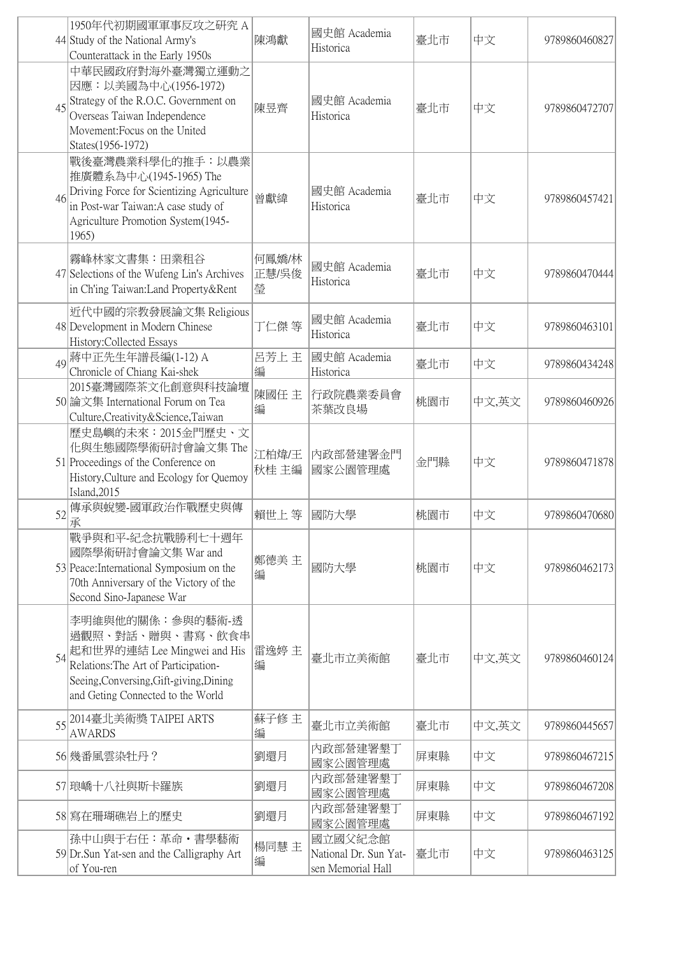|    | 1950年代初期國軍軍事反攻之研究 A<br>44 Study of the National Army's<br>Counterattack in the Early 1950s                                                                                                  | 陳鴻獻                 | 國史館 Academia<br>Historica                             | 臺北市 | 中文    | 9789860460827 |
|----|---------------------------------------------------------------------------------------------------------------------------------------------------------------------------------------------|---------------------|-------------------------------------------------------|-----|-------|---------------|
| 45 | 中華民國政府對海外臺灣獨立運動之<br>因應:以美國為中心(1956-1972)<br>Strategy of the R.O.C. Government on<br>Overseas Taiwan Independence<br>Movement: Focus on the United<br>States(1956-1972)                      | 陳昱齊                 | 國史館 Academia<br>Historica                             | 臺北市 | 中文    | 9789860472707 |
| 46 | 戰後臺灣農業科學化的推手:以農業<br>推廣體系為中心(1945-1965) The<br>Driving Force for Scientizing Agriculture<br>in Post-war Taiwan:A case study of<br>Agriculture Promotion System(1945-<br>1965)                | 曾獻緯                 | 國史館 Academia<br>Historica                             | 臺北市 | 中文    | 9789860457421 |
|    | 霧峰林家文書集:田業租谷<br>47 Selections of the Wufeng Lin's Archives<br>in Ch'ing Taiwan: Land Property & Rent                                                                                        | 何鳳嬌/林<br>正慧/吳俊<br>瑩 | 國史館 Academia<br>Historica                             | 臺北市 | 中文    | 9789860470444 |
|    | 近代中國的宗教發展論文集 Religious<br>48 Development in Modern Chinese<br>History: Collected Essays                                                                                                     | 丁仁傑等                | 國史館 Academia<br>Historica                             | 臺北市 | 中文    | 9789860463101 |
| 49 | 蔣中正先生年譜長編(1-12) A<br>Chronicle of Chiang Kai-shek                                                                                                                                           | 呂芳上主<br>編           | 國史館 Academia<br>Historica                             | 臺北市 | 中文    | 9789860434248 |
|    | 2015臺灣國際茶文化創意與科技論壇<br>50 論文集 International Forum on Tea<br>Culture, Creativity & Science, Taiwan                                                                                            | 陳國任 主<br>編          | 行政院農業委員會<br>茶葉改良場                                     | 桃園市 | 中文,英文 | 9789860460926 |
|    | 歷史島嶼的未來:2015金門歷史、文<br>化與生態國際學術研討會論文集 The<br>51 Proceedings of the Conference on<br>History, Culture and Ecology for Quemoy<br>Island, 2015                                                  | 江柏煒/王<br>秋桂 主編      | 内政部營建署金門<br>國家公園管理處                                   | 金門縣 | 中文    | 9789860471878 |
| 52 | 傳承與蛻變-國軍政治作戰歷史與傳<br>承                                                                                                                                                                       | 賴世上等                | 國防大學                                                  | 桃園市 | 中文    | 9789860470680 |
|    | 戰爭與和平-紀念抗戰勝利七十週年<br>國際學術研討會論文集 War and<br>53 Peace: International Symposium on the<br>70th Anniversary of the Victory of the<br>Second Sino-Japanese War                                    | 鄭德美 主<br>編          | 國防大學                                                  | 桃園市 | 中文    | 9789860462173 |
| 54 | 李明維與他的關係:參與的藝術-透<br>過觀照、對話、贈與、書寫、飲食串<br>起和世界的連結 Lee Mingwei and His<br>Relations: The Art of Participation-<br>Seeing, Conversing, Gift-giving, Dining<br>and Geting Connected to the World | 雷逸婷 主<br>編          | 臺北市立美術館                                               | 臺北市 | 中文,英文 | 9789860460124 |
| 55 | 2014臺北美術獎 TAIPEI ARTS<br><b>AWARDS</b>                                                                                                                                                      | 蘇子修 主<br>編          | 臺北市立美術館                                               | 臺北市 | 中文,英文 | 9789860445657 |
|    | 56 幾番風雲染牡丹?                                                                                                                                                                                 | 劉還月                 | 内政部營建署墾丁<br>國家公園管理處                                   | 屏東縣 | 中文    | 9789860467215 |
|    | 57 琅嶠十八社與斯卡羅族                                                                                                                                                                               | 劉還月                 | 内政部營建署墾丁<br>國家公園管理處                                   | 屏東縣 | 中文    | 9789860467208 |
|    | 58 寫在珊瑚礁岩上的歷史                                                                                                                                                                               | 劉還月                 | 内政部營建署墾丁<br>國家公園管理處                                   | 屏東縣 | 中文    | 9789860467192 |
|    | 孫中山與于右任:革命·書學藝術<br>59 Dr. Sun Yat-sen and the Calligraphy Art<br>of You-ren                                                                                                                 | 楊同慧 主<br>編          | 國立國父紀念館<br>National Dr. Sun Yat-<br>sen Memorial Hall | 臺北市 | 中文    | 9789860463125 |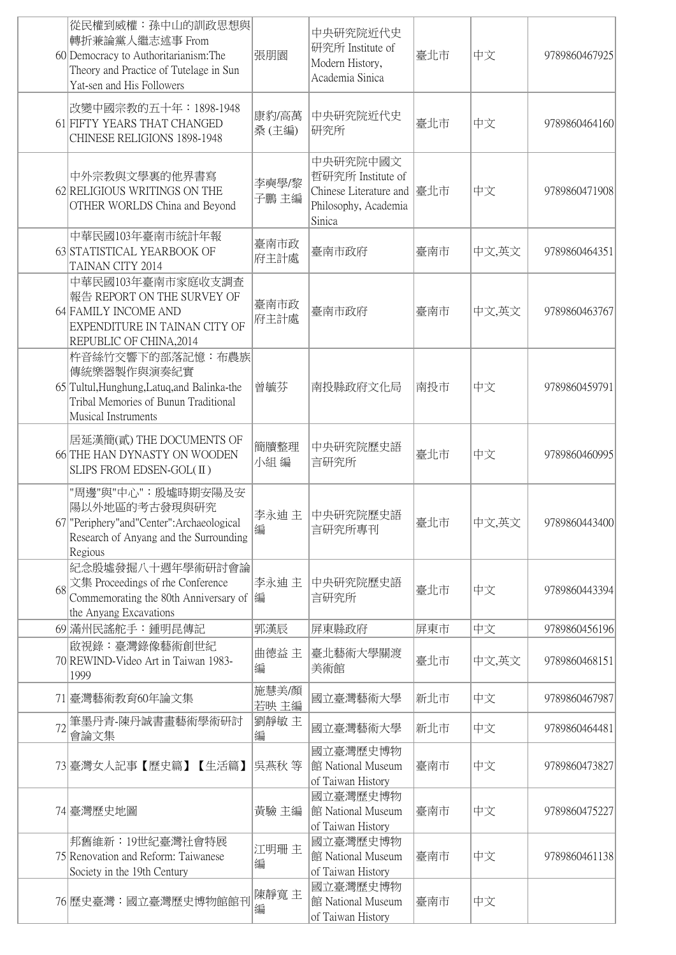|    | 從民權到威權: 孫中山的訓政思想與<br>轉折兼論黨人繼志述事 From<br>60 Democracy to Authoritarianism: The<br>Theory and Practice of Tutelage in Sun<br>Yat-sen and His Followers | 張朋園            | 中央研究院近代史<br>研究所 Institute of<br>Modern History,<br>Academia Sinica                        | 臺北市 | 中文    | 9789860467925 |
|----|------------------------------------------------------------------------------------------------------------------------------------------------------|----------------|-------------------------------------------------------------------------------------------|-----|-------|---------------|
|    | 改變中國宗教的五十年: 1898-1948<br>61 FIFTY YEARS THAT CHANGED<br>CHINESE RELIGIONS 1898-1948                                                                  | 康豹/高萬<br>桑(主編) | 中央研究院近代史<br>研究所                                                                           | 臺北市 | 中文    | 9789860464160 |
|    | 中外宗教與文學裏的他界書寫<br>62 RELIGIOUS WRITINGS ON THE<br>OTHER WORLDS China and Beyond                                                                       | 李奭學/黎<br>子鵬 主編 | 中央研究院中國文<br>哲研究所 Institute of<br>Chinese Literature and<br>Philosophy, Academia<br>Sinica | 臺北市 | 中文    | 9789860471908 |
|    | 中華民國103年臺南市統計年報<br>63 STATISTICAL YEARBOOK OF<br>TAINAN CITY 2014                                                                                    | 臺南市政<br>府主計處   | 臺南市政府                                                                                     | 臺南市 | 中文,英文 | 9789860464351 |
|    | 中華民國103年臺南市家庭收支調查<br>報告 REPORT ON THE SURVEY OF<br>64 FAMILY INCOME AND<br>EXPENDITURE IN TAINAN CITY OF<br>REPUBLIC OF CHINA, 2014                  | 臺南市政<br>府主計處   | 臺南市政府                                                                                     | 臺南市 | 中文,英文 | 9789860463767 |
|    | 杵音絲竹交響下的部落記憶: 布農族<br>傳統樂器製作與演奏紀實<br>65 Tultul, Hunghung, Latuq, and Balinka-the<br>Tribal Memories of Bunun Traditional<br>Musical Instruments       | 曾毓芬            | 南投縣政府文化局                                                                                  | 南投市 | 中文    | 9789860459791 |
|    | 居延漢簡(貳) THE DOCUMENTS OF<br>66 THE HAN DYNASTY ON WOODEN<br>SLIPS FROM EDSEN-GOL(II)                                                                 | 簡牘整理<br>小組編    | 中央研究院歷史語<br>言研究所                                                                          | 臺北市 | 中文    | 9789860460995 |
|    | "周邊"與"中心":殷墟時期安陽及安<br>陽以外地區的考古發現與研究<br>67 "Periphery" and "Center": Archaeological<br>Research of Anyang and the Surrounding<br>Regious              | 李永迪 主<br>編     | 中央研究院歷史語<br>言研究所專刊                                                                        | 臺北市 | 中文,英文 | 9789860443400 |
| 68 | 紀念殷墟發掘八十週年學術研討會論<br>文集 Proceedings of rhe Conference<br>Commemorating the 80th Anniversary of<br>the Anyang Excavations                              | 李永迪 主<br> 編    | 中央研究院歷史語<br>言研究所                                                                          | 臺北市 | 中文    | 9789860443394 |
|    | 69 滿州民謠舵手:鍾明昆傳記                                                                                                                                      | 郭漢辰            | 屏東縣政府                                                                                     | 屏東市 | 中文    | 9789860456196 |
|    | 啟視錄:臺灣錄像藝術創世紀<br>70 REWIND-Video Art in Taiwan 1983-<br>1999                                                                                         | 曲德益 主<br>編     | 臺北藝術大學關渡<br>美術館                                                                           | 臺北市 | 中文,英文 | 9789860468151 |
|    | 71 臺灣藝術教育60年論文集                                                                                                                                      | 施慧美/顏<br>若映主編  | 國立臺灣藝術大學                                                                                  | 新北市 | 中文    | 9789860467987 |
| 72 | 筆墨丹青-陳丹誠書畫藝術學術研討<br>會論文集                                                                                                                             | 劉靜敏 主<br>編     | 國立臺灣藝術大學                                                                                  | 新北市 | 中文    | 9789860464481 |
|    | 73 臺灣女人記事【歷史篇】【生活篇】                                                                                                                                  | 吳燕秋 等          | 國立臺灣歷史博物<br>館 National Museum<br>of Taiwan History                                        | 臺南市 | 中文    | 9789860473827 |
|    | 74 臺灣歷史地圖                                                                                                                                            | 黃驗 主編          | 國立臺灣歷史博物<br>館 National Museum<br>of Taiwan History                                        | 臺南市 | 中文    | 9789860475227 |
|    | 邦舊維新:19世紀臺灣社會特展<br>75 Renovation and Reform: Taiwanese<br>Society in the 19th Century                                                                | 江明珊主<br>編      | 國立臺灣歷史博物<br>館 National Museum<br>of Taiwan History                                        | 臺南市 | 中文    | 9789860461138 |
|    | 76 歷史臺灣:國立臺灣歷史博物館館刊                                                                                                                                  | 陳靜寬主<br>編      | 國立臺灣歷史博物<br>館 National Museum<br>of Taiwan History                                        | 臺南市 | 中文    |               |